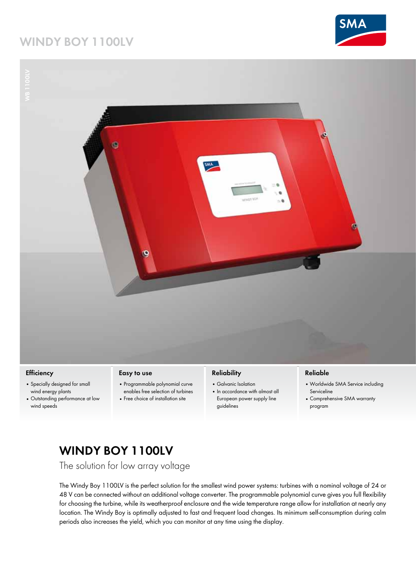# **Windy boy 1100LV**





#### **Efficiency**

- • Specially designed for small wind energy plants
- • Outstanding performance at low wind speeds

#### **Easy to use**

- • Programmable polynomial curve enables free selection of turbines
- Free choice of installation site

### **Reliability**

- Galvanic Isolation • In accordance with almost all
- European power supply line guidelines

### **Reliable**

- • Worldwide SMA Service including Serviceline
- • Comprehensive SMA warranty program

## **Windy Boy 1100LV**

The solution for low array voltage

The Windy Boy 1100LV is the perfect solution for the smallest wind power systems: turbines with a nominal voltage of 24 or 48 V can be connected without an additional voltage converter. The programmable polynomial curve gives you full flexibility for choosing the turbine, while its weatherproof enclosure and the wide temperature range allow for installation at nearly any location. The Windy Boy is optimally adjusted to fast and frequent load changes. Its minimum self-consumption during calm periods also increases the yield, which you can monitor at any time using the display.